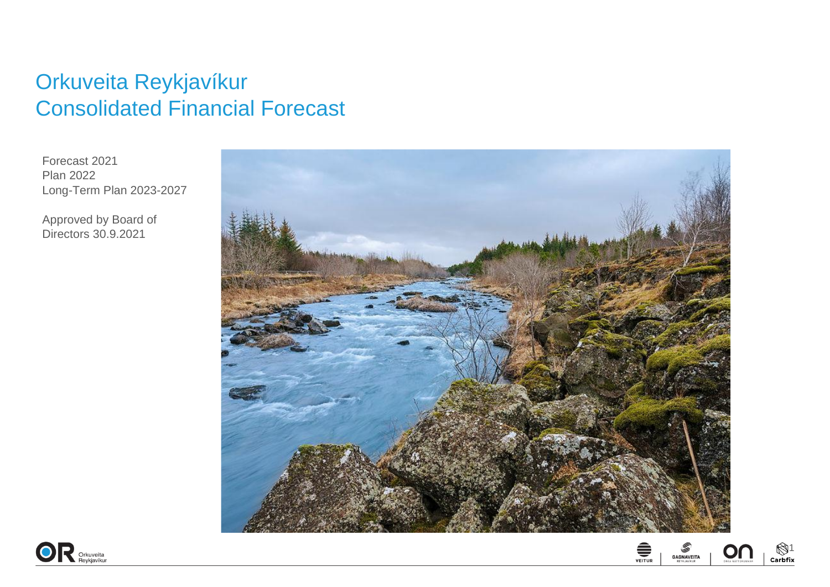## Orkuveita Reykjavíkur Consolidated Financial Forecast

Forecast 2021 Plan 2022 Long-Term Plan 2023-2027

Approved by Board of Directors 30.9.2021





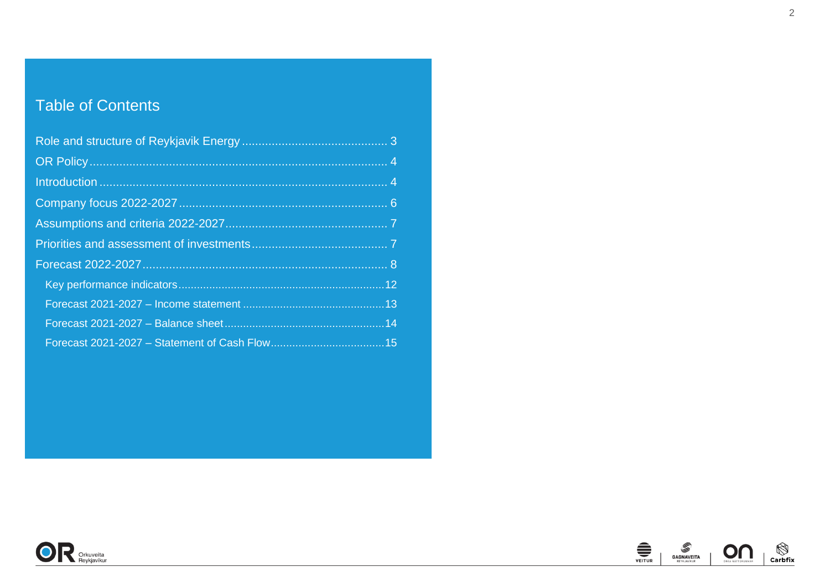## Table of Contents



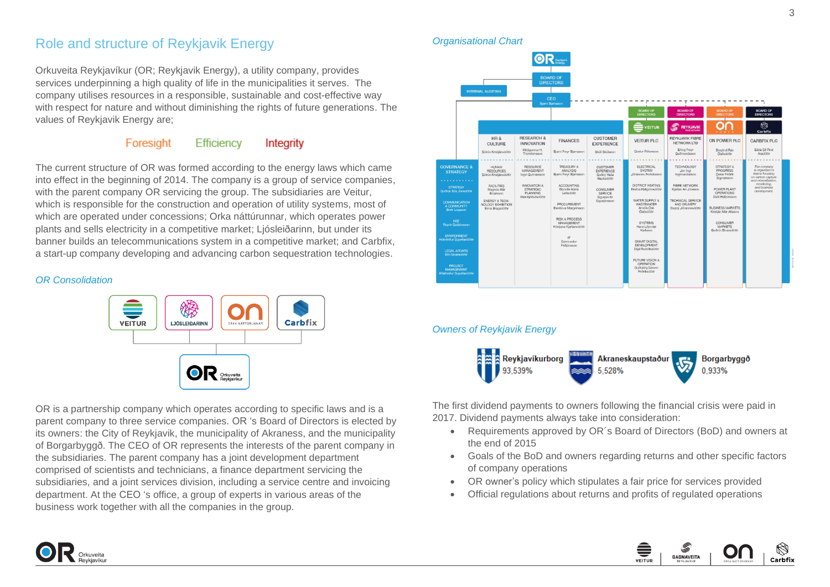### <span id="page-2-0"></span>Role and structure of Reykjavik Energy

Orkuveita Reykjavíkur (OR; Reykjavik Energy), a utility company, provides services underpinning a high quality of life in the municipalities it serves. The company utilises resources in a responsible, sustainable and cost-effective way with respect for nature and without diminishing the rights of future generations. The values of Reykjavik Energy are;

#### Foresight Efficiency Integrity

The current structure of OR was formed according to the energy laws which came into effect in the beginning of 2014. The company is a group of service companies, with the parent company OR servicing the group. The subsidiaries are Veitur, which is responsible for the construction and operation of utility systems, most of which are operated under concessions; Orka náttúrunnar, which operates power plants and sells electricity in a competitive market; Ljósleiðarinn, but under its banner builds an telecommunications system in a competitive market; and Carbfix, a start-up company developing and advancing carbon sequestration technologies.

### *OR Consolidation*



OR is a partnership company which operates according to specific laws and is a parent company to three service companies. OR 's Board of Directors is elected by its owners: the City of Reykjavik, the municipality of Akraness, and the municipality of Borgarbyggð. The CEO of OR represents the interests of the parent company in the subsidiaries. The parent company has a joint development department comprised of scientists and technicians, a finance department servicing the subsidiaries, and a joint services division, including a service centre and invoicing department. At the CEO 's office, a group of experts in various areas of the business work together with all the companies in the group.

*Organisational Chart*



### *Owners of Reykjavik Energy*



The first dividend payments to owners following the financial crisis were paid in 2017. Dividend payments always take into consideration:

- Requirements approved by OR´s Board of Directors (BoD) and owners at the end of 2015
- Goals of the BoD and owners regarding returns and other specific factors of company operations
- OR owner's policy which stipulates a fair price for services provided
- Official regulations about returns and profits of regulated operations



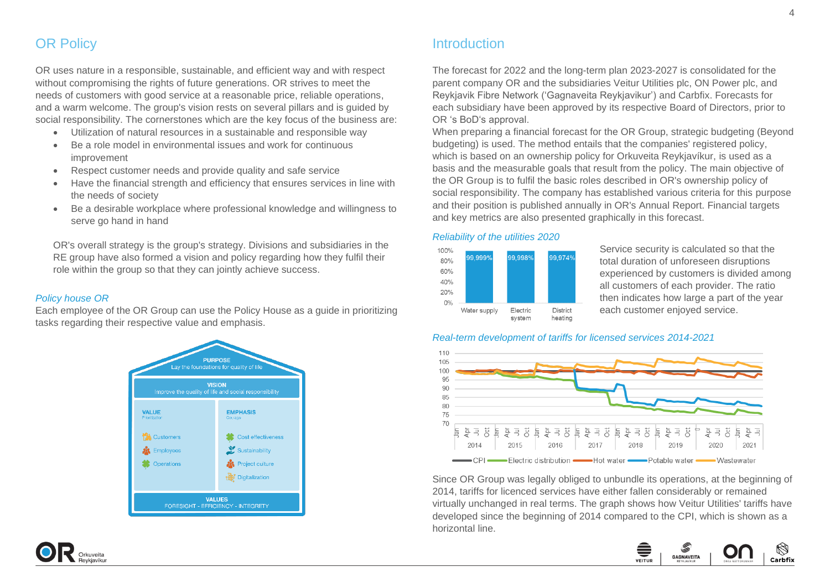### <span id="page-3-0"></span>**OR Policy**

OR uses nature in a responsible, sustainable, and efficient way and with respect without compromising the rights of future generations. OR strives to meet the needs of customers with good service at a reasonable price, reliable operations, and a warm welcome. The group's vision rests on several pillars and is guided by social responsibility. The cornerstones which are the key focus of the business are:

- Utilization of natural resources in a sustainable and responsible way
- Be a role model in environmental issues and work for continuous improvement
- Respect customer needs and provide quality and safe service
- Have the financial strength and efficiency that ensures services in line with the needs of society
- Be a desirable workplace where professional knowledge and willingness to serve go hand in hand

OR's overall strategy is the group's strategy. Divisions and subsidiaries in the RE group have also formed a vision and policy regarding how they fulfil their role within the group so that they can jointly achieve success.

#### *Policy house OR*

Each employee of the OR Group can use the Policy House as a guide in prioritizing tasks regarding their respective value and emphasis.



### <span id="page-3-1"></span>Introduction

The forecast for 2022 and the long-term plan 2023-2027 is consolidated for the parent company OR and the subsidiaries Veitur Utilities plc, ON Power plc, and Reykjavik Fibre Network ('Gagnaveita Reykjavikur') and Carbfix. Forecasts for each subsidiary have been approved by its respective Board of Directors, prior to OR 's BoD's approval.

When preparing a financial forecast for the OR Group, strategic budgeting (Beyond budgeting) is used. The method entails that the companies' registered policy, which is based on an ownership policy for Orkuveita Reykjavíkur, is used as a basis and the measurable goals that result from the policy. The main objective of the OR Group is to fulfil the basic roles described in OR's ownership policy of social responsibility. The company has established various criteria for this purpose and their position is published annually in OR's Annual Report. Financial targets and key metrics are also presented graphically in this forecast.

### *Reliability of the utilities 2020*



Service security is calculated so that the total duration of unforeseen disruptions experienced by customers is divided among all customers of each provider. The ratio then indicates how large a part of the year each customer enjoyed service.

#### *Real-term development of tariffs for licensed services 2014-2021*



Since OR Group was legally obliged to unbundle its operations, at the beginning of 2014, tariffs for licenced services have either fallen considerably or remained virtually unchanged in real terms. The graph shows how Veitur Utilities' tariffs have developed since the beginning of 2014 compared to the CPI, which is shown as a horizontal line.



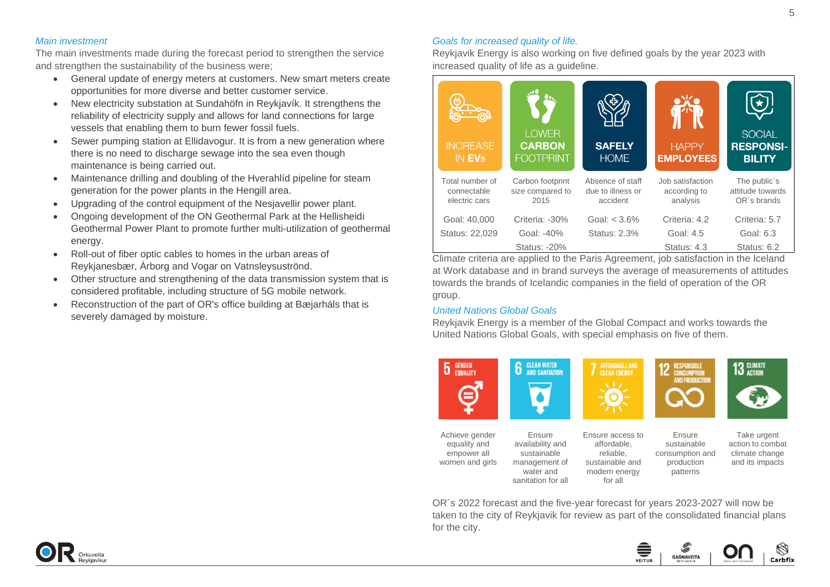#### *Main investment*

The main investments made during the forecast period to strengthen the service and strengthen the sustainability of the business were;

- General update of energy meters at customers. New smart meters create opportunities for more diverse and better customer service.
- New electricity substation at Sundahöfn in Reykjavík. It strengthens the reliability of electricity supply and allows for land connections for large vessels that enabling them to burn fewer fossil fuels.
- Sewer pumping station at Ellidavogur. It is from a new generation where there is no need to discharge sewage into the sea even though maintenance is being carried out.
- Maintenance drilling and doubling of the Hverahlíd pipeline for steam generation for the power plants in the Hengill area.
- Upgrading of the control equipment of the Nesjavellir power plant.
- Ongoing development of the ON Geothermal Park at the Hellisheidi Geothermal Power Plant to promote further multi-utilization of geothermal energy.
- Roll-out of fiber optic cables to homes in the urban areas of Reykjanesbær, Árborg and Vogar on Vatnsleysuströnd.
- Other structure and strengthening of the data transmission system that is considered profitable, including structure of 5G mobile network.
- Reconstruction of the part of OR's office building at Bæjarháls that is severely damaged by moisture.

### *Goals for increased quality of life.*

Reykjavik Energy is also working on five defined goals by the year 2023 with increased quality of life as a guideline.

| <b>INCREASE</b><br>IN EV <sub>s</sub>           | <b>LOWER</b><br><b>CARBON</b><br><b>FOOTPRINT</b> | <b>SAFELY</b><br><b>HOME</b>                      | <b>HAPPY</b><br><b>EMPLOYEES</b>             | <b>SOCIAL</b><br><b>RESPONSI-</b><br><b>BILITY</b> |
|-------------------------------------------------|---------------------------------------------------|---------------------------------------------------|----------------------------------------------|----------------------------------------------------|
| Total number of<br>connectable<br>electric cars | Carbon footprint<br>size compared to<br>2015      | Absence of staff<br>due to illness or<br>accident | Job satisfaction<br>according to<br>analysis | The public's<br>attitude towards<br>OR's brands    |
| Goal: 40,000                                    | Criteria: -30%                                    | Goal: $< 3.6\%$                                   | Criteria: 4.2                                | Criteria: 5.7                                      |
| Status: 22,029                                  | Goal: -40%                                        | Status: 2.3%                                      | Goal: 4.5                                    | Goal: 6.3                                          |
|                                                 | Status: -20%                                      |                                                   | Status: 4.3                                  | Status: 6.2                                        |

Climate criteria are applied to the Paris Agreement, job satisfaction in the Iceland at Work database and in brand surveys the average of measurements of attitudes towards the brands of Icelandic companies in the field of operation of the OR group.

### *United Nations Global Goals*

Reykjavik Energy is a member of the Global Compact and works towards the United Nations Global Goals, with special emphasis on five of them.





Ensure availability and sustainable management of water and sanitation for all Ensure access to affordable, reliable, sustainable and modern energy for all

**RESPONSIBLE CONSUMPTION AND PRODUCTIO** 

Ensure sustainable consumption and production patterns



Take urgent action to combat climate change

and its impacts

OR´s 2022 forecast and the five-year forecast for years 2023-2027 will now be taken to the city of Reykjavik for review as part of the consolidated financial plans for the city.



5

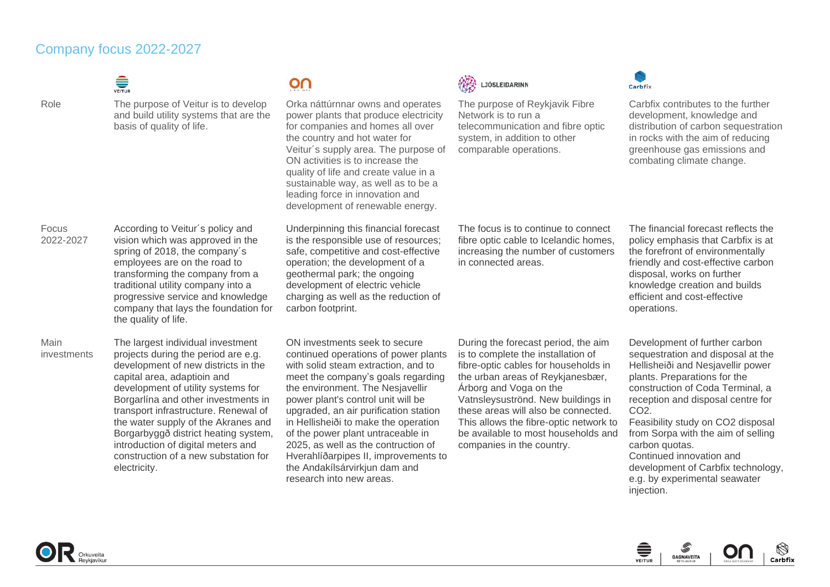### <span id="page-5-0"></span>Company focus 2022-2027

| VEITUR |
|--------|
|        |

Focus 2022-2027

Main investments

# Role The purpose of Veitur is to develop

Orka náttúrnnar owns and operates

and build utility systems that are the basis of quality of life.

According to Veitur´s policy and vision which was approved in the spring of 2018, the company´s employees are on the road to transforming the company from a traditional utility company into a progressive service and knowledge company that lays the foundation for

The largest individual investment projects during the period are e.g. development of new districts in the

development of utility systems for Borgarlína and other investments in transport infrastructure. Renewal of the water supply of the Akranes and Borgarbyggð district heating system, introduction of digital meters and construction of a new substation for

capital area, adaptioin and

the quality of life.

electricity.

power plants that produce electricity for companies and homes all over the country and hot water for Veitur´s supply area. The purpose of ON activities is to increase the quality of life and create value in a

 $\Omega$ 

sustainable way, as well as to be a leading force in innovation and development of renewable energy.

Underpinning this financial forecast is the responsible use of resources; safe, competitive and cost-effective operation; the development of a geothermal park; the ongoing development of electric vehicle charging as well as the reduction of carbon footprint.

ON investments seek to secure continued operations of power plants with solid steam extraction, and to meet the company's goals regarding the environment. The Nesjavellir power plant's control unit will be upgraded, an air purification station in Hellisheiði to make the operation of the power plant untraceable in 2025, as well as the contruction of Hverahlíðarpipes II, improvements to the Andakílsárvirkjun dam and research into new areas.



The purpose of Reykjavik Fibre Network is to run a telecommunication and fibre optic system, in addition to other comparable operations.



Carbfix contributes to the further development, knowledge and distribution of carbon sequestration in rocks with the aim of reducing greenhouse gas emissions and combating climate change.

The focus is to continue to connect fibre optic cable to Icelandic homes, increasing the number of customers in connected areas.

The financial forecast reflects the policy emphasis that Carbfix is at the forefront of environmentally friendly and cost-effective carbon disposal, works on further knowledge creation and builds efficient and cost-effective operations.

During the forecast period, the aim is to complete the installation of fibre-optic cables for households in the urban areas of Reykjanesbær, Árborg and Voga on the Vatnsleysuströnd. New buildings in these areas will also be connected. This allows the fibre-optic network to be available to most households and companies in the country.

Development of further carbon sequestration and disposal at the Hellisheiði and Nesjavellir power plants. Preparations for the construction of Coda Terminal, a reception and disposal centre for  $CO<sub>2</sub>$ 

Feasibility study on CO2 disposal from Sorpa with the aim of selling carbon quotas.

Continued innovation and development of Carbfix technology, e.g. by experimental seawater injection.

<span id="page-5-1"></span>

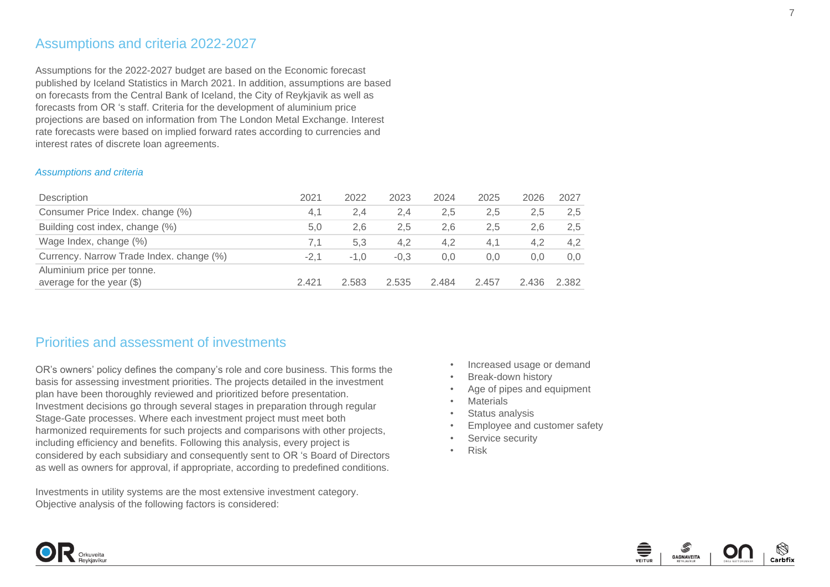### Assumptions and criteria 2022-2027

Assumptions for the 2022-2027 budget are based on the Economic forecast published by Iceland Statistics in March 2021. In addition, assumptions are based on forecasts from the Central Bank of Iceland, the City of Reykjavik as well as forecasts from OR 's staff. Criteria for the development of aluminium price projections are based on information from The London Metal Exchange. Interest rate forecasts were based on implied forward rates according to currencies and interest rates of discrete loan agreements.

#### *Assumptions and criteria*

Orkuveit

| Description                                               | 2021  | 2022   | 2023   | 2024  | 2025  | 2026  | 2027          |
|-----------------------------------------------------------|-------|--------|--------|-------|-------|-------|---------------|
| Consumer Price Index. change (%)                          | 4.1   | 2.4    | 2.4    | 2,5   | 2,5   | 2.5   | 2.5           |
| Building cost index, change (%)                           | 5.0   | 2.6    | 2.5    | 2.6   | 2.5   | 2.6   | 2,5           |
| Wage Index, change (%)                                    | 7.1   | 5.3    | 4.2    | 4.2   | 4.1   | 4.2   | $4.2^{\circ}$ |
| Currency. Narrow Trade Index. change (%)                  | -2.1  | $-1.0$ | $-0.3$ | 0.0   | 0.0   | 0.0   | 0.0           |
| Aluminium price per tonne.<br>average for the year $(\$)$ | 2.421 | 2.583  | 2.535  | 2.484 | 2.457 | 2.436 | 2.382         |

### <span id="page-6-0"></span>Priorities and assessment of investments

OR's owners' policy defines the company's role and core business. This forms the basis for assessing investment priorities. The projects detailed in the investment plan have been thoroughly reviewed and prioritized before presentation. Investment decisions go through several stages in preparation through regular Stage-Gate processes. Where each investment project must meet both harmonized requirements for such projects and comparisons with other projects, including efficiency and benefits. Following this analysis, every project is considered by each subsidiary and consequently sent to OR 's Board of Directors as well as owners for approval, if appropriate, according to predefined conditions.

Investments in utility systems are the most extensive investment category. Objective analysis of the following factors is considered:

- Increased usage or demand
- Break-down history
- Age of pipes and equipment
- Materials
- Status analysis
- Employee and customer safety
- Service security
- Risk



7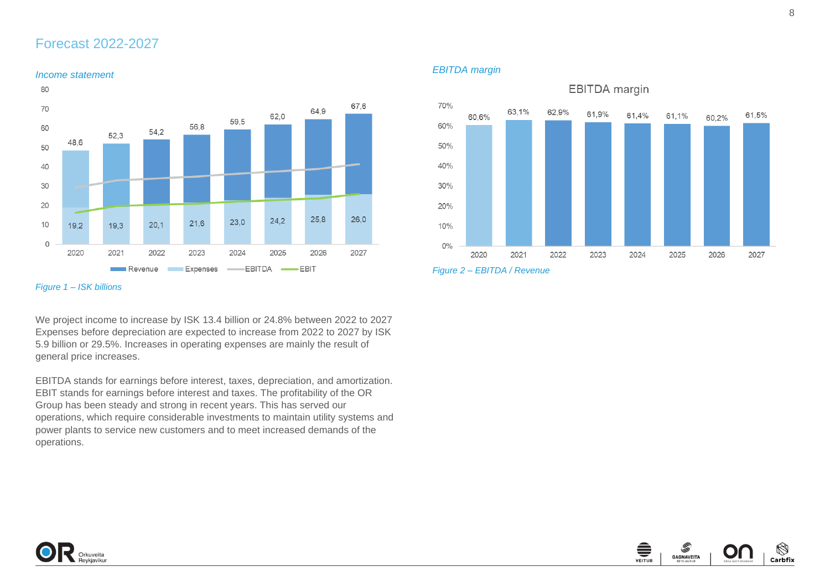### <span id="page-7-0"></span>Forecast 2022-2027



*Figure 1 – ISK billions*

We project income to increase by ISK 13.4 billion or 24.8% between 2022 to 2027 Expenses before depreciation are expected to increase from 2022 to 2027 by ISK 5.9 billion or 29.5%. Increases in operating expenses are mainly the result of general price increases.

EBITDA stands for earnings before interest, taxes, depreciation, and amortization. EBIT stands for earnings before interest and taxes. The profitability of the OR Group has been steady and strong in recent years. This has served our operations, which require considerable investments to maintain utility systems and power plants to service new customers and to meet increased demands of the operations.

*EBITDA margin*





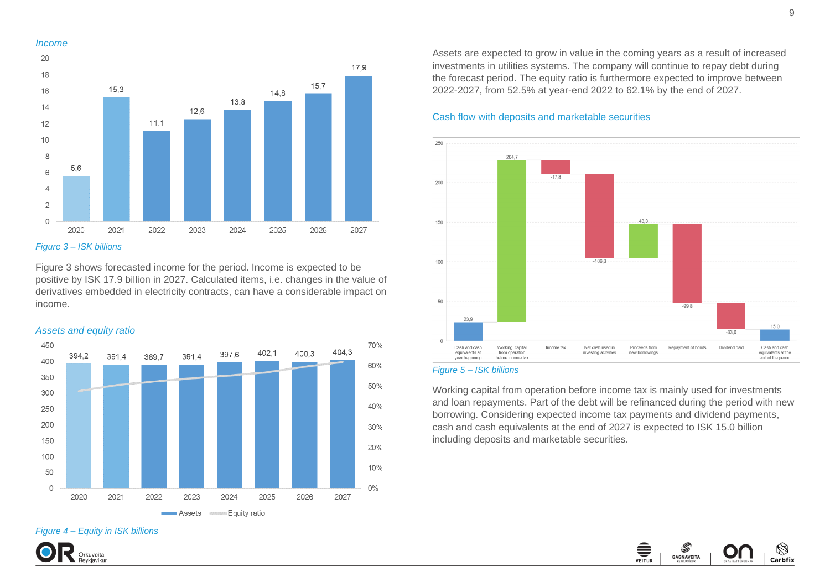#### *Income*



*Figure 3 – ISK billions*

Figure 3 shows forecasted income for the period. Income is expected to be positive by ISK 17.9 billion in 2027. Calculated items, i.e. changes in the value of derivatives embedded in electricity contracts, can have a considerable impact on income.



*Figure 4 – Equity in ISK billions*



Assets are expected to grow in value in the coming years as a result of increased investments in utilities systems. The company will continue to repay debt during the forecast period. The equity ratio is furthermore expected to improve between 2022-2027, from 52.5% at year-end 2022 to 62.1% by the end of 2027.

### Cash flow with deposits and marketable securities



#### *Figure 5 – ISK billions*

Working capital from operation before income tax is mainly used for investments and loan repayments. Part of the debt will be refinanced during the period with new borrowing. Considering expected income tax payments and dividend payments, cash and cash equivalents at the end of 2027 is expected to ISK 15.0 billion including deposits and marketable securities.

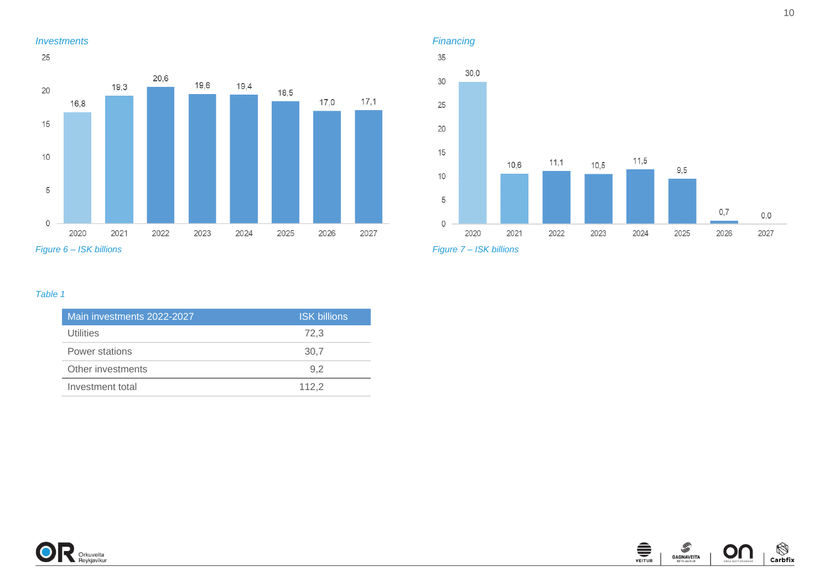



*Figure 7 – ISK billions*

### *Table 1*

| Main investments 2022-2027 | <b>ISK billions</b> |
|----------------------------|---------------------|
| Utilities                  | 72.3                |
| Power stations             | 30.7                |
| Other investments          | 9.2                 |
| Investment total           | 112.2               |



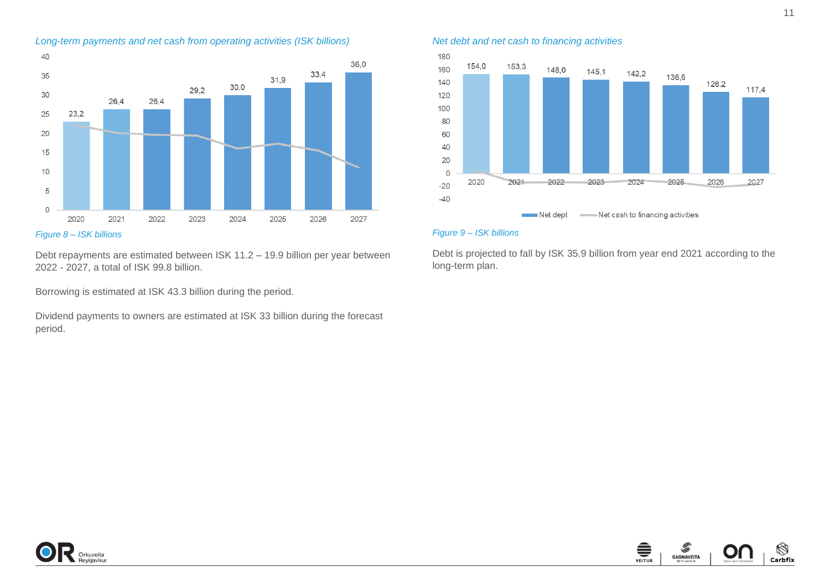

*Figure 8 – ISK billions*

Debt repayments are estimated between ISK 11.2 – 19.9 billion per year between 2022 - 2027, a total of ISK 99.8 billion.

Borrowing is estimated at ISK 43.3 billion during the period.

Dividend payments to owners are estimated at ISK 33 billion during the forecast period.

*Net debt and net cash to financing activities*



#### *Figure 9 – ISK billions*

Debt is projected to fall by ISK 35.9 billion from year end 2021 according to the long-term plan.



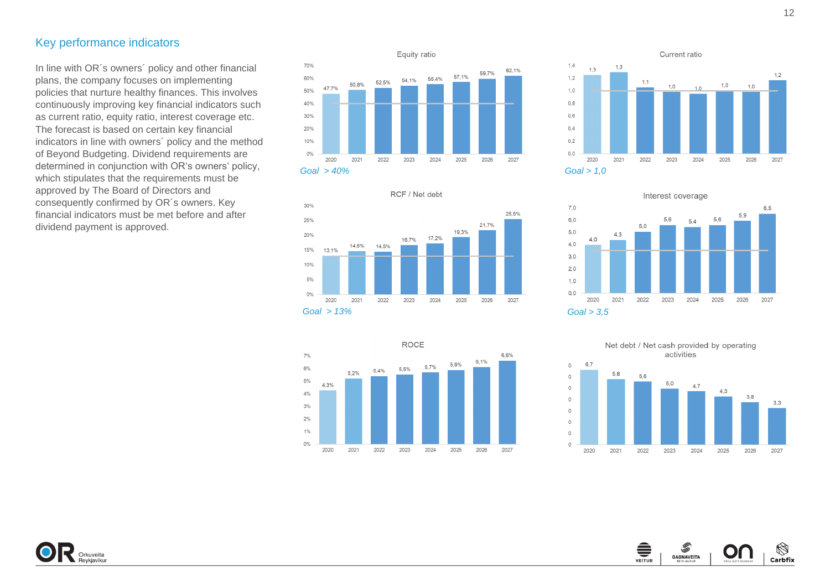### <span id="page-11-0"></span>Key perfo rmance indicators

In line with OR's owners' policy and other financial plans, the company focuses on implementing policies that nurture healthy finances. This involves continuously improving key financial indicators such as current ratio, equity ratio, interest coverage etc. The forecast is based on certain key financial indicators in line with owners´ policy and the method of Beyond Budgeting. Dividend requirements are determined in conjunction with OR's owners' policy, which stipulates that the requirements must be approved by The Board of Directors and consequently confirmed by OR´s owners. Key financial indicators must be met before and after dividend payment is approved.



RCF / Net debt

16,7%

2023

17,2%

2024

2025

2026

2027









**GAGNAVEITA** 

O

Carbfix





*Goal > 13%*

2020

13,1%

14,6%

2021

14.5%

2022

30%

25%

20%

15%

10%

 $5%$ 

 $0%$ 

Orkuveita<br>Beykiavíkur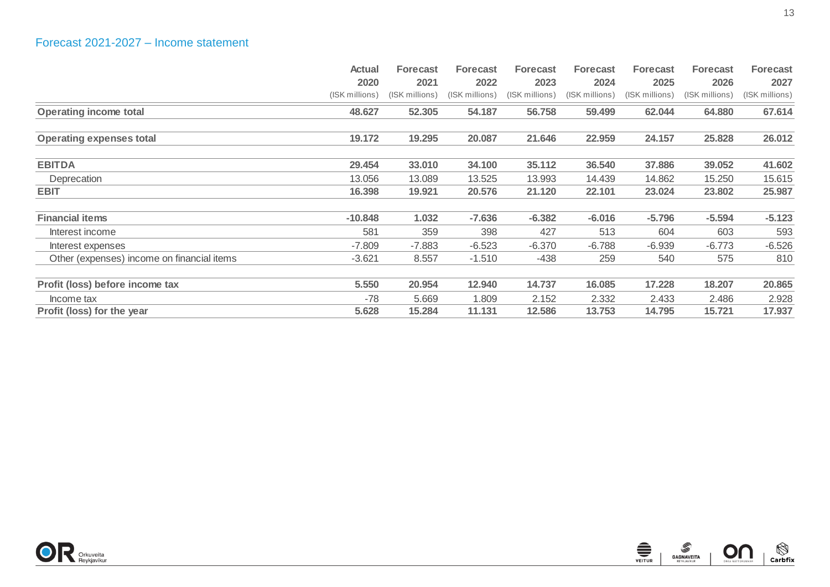<span id="page-12-0"></span>

|                                            | <b>Actual</b>  | <b>Forecast</b> | <b>Forecast</b> | <b>Forecast</b> | <b>Forecast</b> | <b>Forecast</b> | <b>Forecast</b> | <b>Forecast</b> |
|--------------------------------------------|----------------|-----------------|-----------------|-----------------|-----------------|-----------------|-----------------|-----------------|
|                                            | 2020           | 2021            | 2022            | 2023            | 2024            | 2025            | 2026            | 2027            |
|                                            | (ISK millions) | (ISK millions)  | (ISK millions)  | (ISK millions)  | (ISK millions)  | (ISK millions)  | (ISK millions)  | (ISK millions)  |
| <b>Operating income total</b>              | 48.627         | 52.305          | 54.187          | 56.758          | 59.499          | 62.044          | 64.880          | 67.614          |
| <b>Operating expenses total</b>            | 19.172         | 19.295          | 20.087          | 21.646          | 22.959          | 24.157          | 25.828          | 26.012          |
| <b>EBITDA</b>                              | 29.454         | 33.010          | 34.100          | 35.112          | 36.540          | 37.886          | 39.052          | 41.602          |
| Deprecation                                | 13.056         | 13.089          | 13.525          | 13.993          | 14.439          | 14.862          | 15.250          | 15.615          |
| <b>EBIT</b>                                | 16.398         | 19.921          | 20.576          | 21.120          | 22.101          | 23.024          | 23.802          | 25.987          |
| <b>Financial items</b>                     | $-10.848$      | 1.032           | $-7.636$        | $-6.382$        | $-6.016$        | $-5.796$        | $-5.594$        | $-5.123$        |
| Interest income                            | 581            | 359             | 398             | 427             | 513             | 604             | 603             | 593             |
| Interest expenses                          | $-7.809$       | $-7.883$        | $-6.523$        | $-6.370$        | $-6.788$        | $-6.939$        | $-6.773$        | $-6.526$        |
| Other (expenses) income on financial items | $-3.621$       | 8.557           | $-1.510$        | -438            | 259             | 540             | 575             | 810             |
| Profit (loss) before income tax            | 5.550          | 20.954          | 12.940          | 14.737          | 16.085          | 17.228          | 18.207          | 20.865          |
| Income tax                                 | $-78$          | 5.669           | 1.809           | 2.152           | 2.332           | 2.433           | 2.486           | 2.928           |
| Profit (loss) for the year                 | 5.628          | 15.284          | 11.131          | 12.586          | 13.753          | 14.795          | 15.721          | 17.937          |

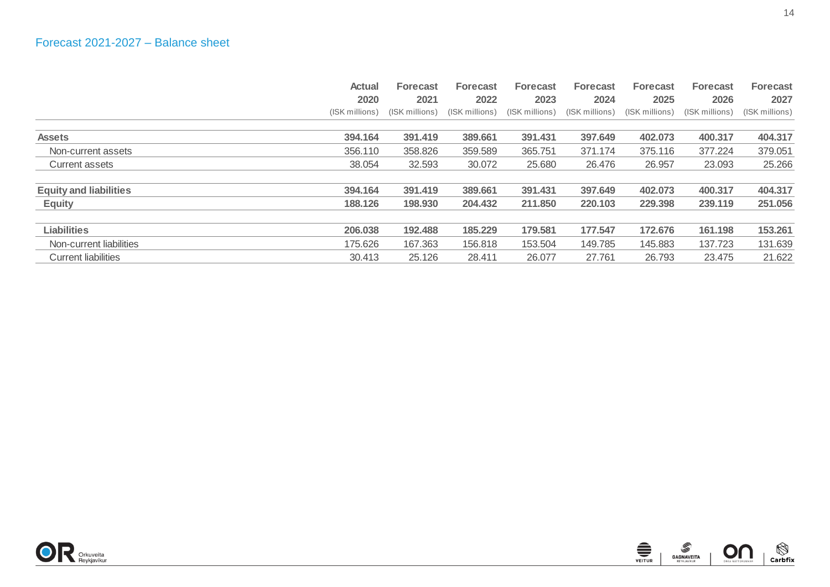<span id="page-13-0"></span>

|                               | <b>Actual</b>  | <b>Forecast</b> | <b>Forecast</b> | <b>Forecast</b> | <b>Forecast</b> | <b>Forecast</b> | <b>Forecast</b> | <b>Forecast</b> |
|-------------------------------|----------------|-----------------|-----------------|-----------------|-----------------|-----------------|-----------------|-----------------|
|                               | 2020           | 2021            | 2022            | 2023            | 2024            | 2025            | 2026            | 2027            |
|                               | (ISK millions) | (ISK millions)  | (ISK millions)  | (ISK millions)  | (ISK millions)  | (ISK millions)  | (ISK millions)  | (ISK millions)  |
| <b>Assets</b>                 | 394.164        | 391.419         | 389.661         | 391.431         | 397.649         | 402.073         | 400.317         | 404.317         |
| Non-current assets            | 356.110        | 358.826         | 359.589         | 365.751         | 371.174         | 375.116         | 377.224         | 379.051         |
| Current assets                | 38.054         | 32.593          | 30.072          | 25.680          | 26.476          | 26.957          | 23.093          | 25.266          |
| <b>Equity and liabilities</b> | 394.164        | 391.419         | 389.661         | 391.431         | 397.649         | 402.073         | 400.317         | 404.317         |
| <b>Equity</b>                 | 188.126        | 198,930         | 204.432         | 211.850         | 220.103         | 229,398         | 239,119         | 251.056         |
| <b>Liabilities</b>            | 206.038        | 192.488         | 185.229         | 179.581         | 177.547         | 172.676         | 161.198         | 153.261         |
| Non-current liabilities       | 175.626        | 167.363         | 156.818         | 153.504         | 149.785         | 145.883         | 137.723         | 131.639         |
| <b>Current liabilities</b>    | 30.413         | 25.126          | 28.411          | 26.077          | 27.761          | 26.793          | 23.475          | 21.622          |